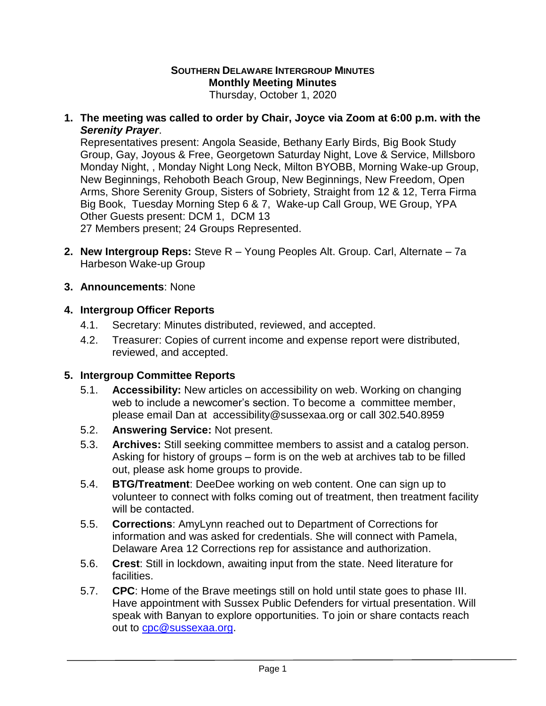# **SOUTHERN DELAWARE INTERGROUP MINUTES Monthly Meeting Minutes**

Thursday, October 1, 2020

**1. The meeting was called to order by Chair, Joyce via Zoom at 6:00 p.m. with the**  *Serenity Prayer*.

Representatives present: Angola Seaside, Bethany Early Birds, Big Book Study Group, Gay, Joyous & Free, Georgetown Saturday Night, Love & Service, Millsboro Monday Night, , Monday Night Long Neck, Milton BYOBB, Morning Wake-up Group, New Beginnings, Rehoboth Beach Group, New Beginnings, New Freedom, Open Arms, Shore Serenity Group, Sisters of Sobriety, Straight from 12 & 12, Terra Firma Big Book, Tuesday Morning Step 6 & 7, Wake-up Call Group, WE Group, YPA Other Guests present: DCM 1, DCM 13

27 Members present; 24 Groups Represented.

- **2. New Intergroup Reps:** Steve R Young Peoples Alt. Group. Carl, Alternate 7a Harbeson Wake-up Group
- **3. Announcements**: None

### **4. Intergroup Officer Reports**

- 4.1. Secretary: Minutes distributed, reviewed, and accepted.
- 4.2. Treasurer: Copies of current income and expense report were distributed, reviewed, and accepted.

## **5. Intergroup Committee Reports**

- 5.1. **Accessibility:** New articles on accessibility on web. Working on changing web to include a newcomer's section. To become a committee member, please email Dan at [accessibility@sussexaa.org](mailto:dshenry2067@gmail.com) or call 302.540.8959
- 5.2. **Answering Service:** Not present.
- 5.3. **Archives:** Still seeking committee members to assist and a catalog person. Asking for history of groups – form is on the web at archives tab to be filled out, please ask home groups to provide.
- 5.4. **BTG/Treatment**: DeeDee working on web content. One can sign up to volunteer to connect with folks coming out of treatment, then treatment facility will be contacted.
- 5.5. **Corrections**: AmyLynn reached out to Department of Corrections for information and was asked for credentials. She will connect with Pamela, Delaware Area 12 Corrections rep for assistance and authorization.
- 5.6. **Crest**: Still in lockdown, awaiting input from the state. Need literature for facilities.
- 5.7. **CPC**: Home of the Brave meetings still on hold until state goes to phase III. Have appointment with Sussex Public Defenders for virtual presentation. Will speak with Banyan to explore opportunities. To join or share contacts reach out to [cpc@sussexaa.org.](mailto:cpc@sussexaa.org)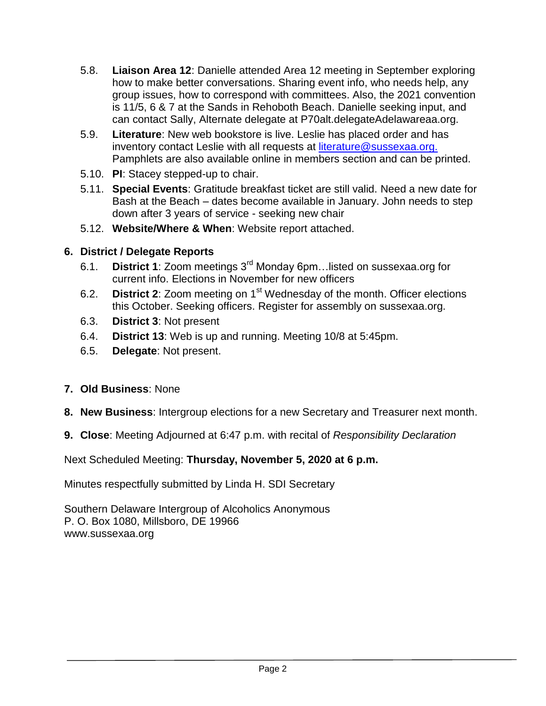- 5.8. **Liaison Area 12**: Danielle attended Area 12 meeting in September exploring how to make better conversations. Sharing event info, who needs help, any group issues, how to correspond with committees. Also, the 2021 convention is 11/5, 6 & 7 at the Sands in Rehoboth Beach. Danielle seeking input, and can contact Sally, Alternate delegate at P70alt.delegateAdelawareaa.org.
- 5.9. **Literature**: New web bookstore is live. Leslie has placed order and has inventory contact Leslie with all requests at [literature@sussexaa.org.](mailto:literature@sussexaa.org.) Pamphlets are also available online in members section and can be printed.
- 5.10. **PI**: Stacey stepped-up to chair.
- 5.11. **Special Events**: Gratitude breakfast ticket are still valid. Need a new date for Bash at the Beach – dates become available in January. John needs to step down after 3 years of service - seeking new chair
- 5.12. **Website/Where & When**: Website report attached.

# **6. District / Delegate Reports**

- 6.1. **District 1**: Zoom meetings 3rd Monday 6pm…listed on sussexaa.org for current info. Elections in November for new officers
- 6.2. **District 2**: Zoom meeting on 1st Wednesday of the month. Officer elections this October. Seeking officers. Register for assembly on sussexaa.org.
- 6.3. **District 3**: Not present
- 6.4. **District 13**: Web is up and running. Meeting 10/8 at 5:45pm.
- 6.5. **Delegate**: Not present.
- **7. Old Business**: None
- **8. New Business**: Intergroup elections for a new Secretary and Treasurer next month.
- **9. Close**: Meeting Adjourned at 6:47 p.m. with recital of *Responsibility Declaration*

Next Scheduled Meeting: **Thursday, November 5, 2020 at 6 p.m.**

Minutes respectfully submitted by Linda H. SDI Secretary

Southern Delaware Intergroup of Alcoholics Anonymous P. O. Box 1080, Millsboro, DE 19966 www.sussexaa.org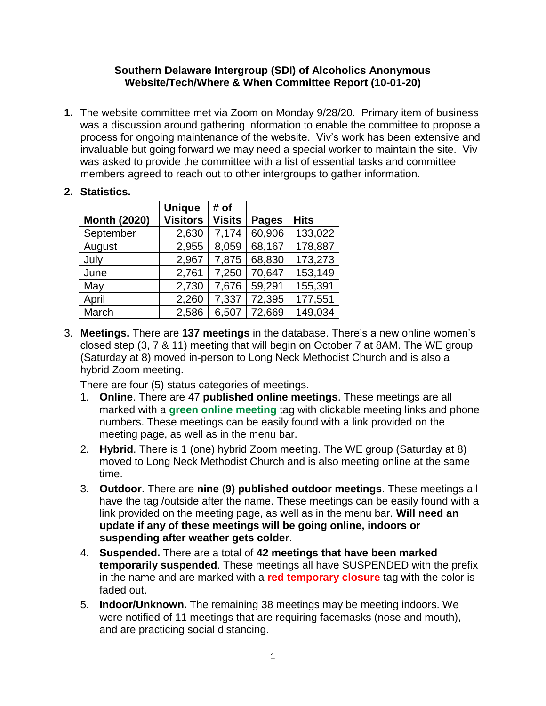#### **Southern Delaware Intergroup (SDI) of Alcoholics Anonymous Website/Tech/Where & When Committee Report (10-01-20)**

**1.** The website committee met via Zoom on Monday 9/28/20. Primary item of business was a discussion around gathering information to enable the committee to propose a process for ongoing maintenance of the website. Viv's work has been extensive and invaluable but going forward we may need a special worker to maintain the site. Viv was asked to provide the committee with a list of essential tasks and committee members agreed to reach out to other intergroups to gather information.

## **2. Statistics.**

| <b>Month (2020)</b> | <b>Unique</b><br><b>Visitors</b> | # of<br><b>Visits</b> | <b>Pages</b> | <b>Hits</b> |
|---------------------|----------------------------------|-----------------------|--------------|-------------|
| September           | 2,630                            | 7,174                 | 60,906       | 133,022     |
| August              | 2,955                            | 8,059                 | 68,167       | 178,887     |
| July                | 2,967                            | 7,875                 | 68,830       | 173,273     |
| June                | 2,761                            | 7,250                 | 70,647       | 153,149     |
| May                 | 2,730                            | 7,676                 | 59,291       | 155,391     |
| April               | 2,260                            | 7,337                 | 72,395       | 177,551     |
| March               | 2,586                            | 6,507                 | 72,669       | 149,034     |

3. **Meetings.** There are **137 meetings** in the database. There's a new online women's closed step (3, 7 & 11) meeting that will begin on October 7 at 8AM. The WE group (Saturday at 8) moved in-person to Long Neck Methodist Church and is also a hybrid Zoom meeting.

There are four (5) status categories of meetings.

- 1. **Online**. There are 47 **published online meetings**. These meetings are all marked with a **green online meeting** tag with clickable meeting links and phone numbers. These meetings can be easily found with a link provided on the meeting page, as well as in the menu bar.
- 2. **Hybrid**. There is 1 (one) hybrid Zoom meeting. The WE group (Saturday at 8) moved to Long Neck Methodist Church and is also meeting online at the same time.
- 3. **Outdoor**. There are **nine** (**9) published outdoor meetings**. These meetings all have the tag /outside after the name. These meetings can be easily found with a link provided on the meeting page, as well as in the menu bar. **Will need an update if any of these meetings will be going online, indoors or suspending after weather gets colder**.
- 4. **Suspended.** There are a total of **42 meetings that have been marked temporarily suspended**. These meetings all have SUSPENDED with the prefix in the name and are marked with a **red temporary closure** tag with the color is faded out.
- 5. **Indoor/Unknown.** The remaining 38 meetings may be meeting indoors. We were notified of 11 meetings that are requiring facemasks (nose and mouth), and are practicing social distancing.